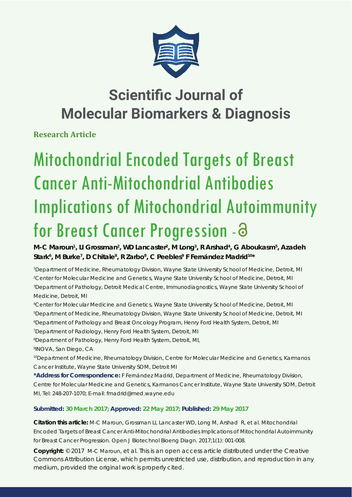

**Research Article**

# Mitochondrial Encoded Targets of Breast Cancer Anti-Mitochondrial Antibodies Implications of Mitochondrial Autoimmunity for Breast Cancer Progression - a

M-C Maroun<sup>1</sup>, LI Grossman<sup>2</sup>, WD Lancaster<sup>2</sup>, M Long<sup>3</sup>, R Arshad<sup>4</sup>, G Aboukasm<sup>5</sup>, Azadeh Stark<sup>6</sup>, M Burke<sup>7</sup>, D Chitale<sup>8</sup>, R Zarbo<sup>8</sup>, C Peebles<sup>9</sup> F Fernández Madrid<sup>10\*</sup>

 *Department of Medicine, Rheumatology Division, Wayne State University School of Medicine, Detroit, MI Center for Molecular Medicine and Genetics, Wayne State University School of Medicine, Detroit, MI Department of Pathology, Detroit Medical Centre, Immunodiagnostics, Wayne State University School of Medicine, Detroit, MI*

*4 Center for Molecular Medicine and Genetics, Wayne State University School of Medicine, Detroit, MI 5 Department of Medicine, Rheumatology Division, Wayne State University School of Medicine, Detroit, MI 6 Department of Pathology and Breast Oncology Program, Henry Ford Health System, Detroit, MI*

*7 Department of Radiology, Henry Ford Health System, Detroit, MI*

*8 Department of Pathology, Henry Ford Health System, Detroit, MI, 9 INOVA, San Diego, CA*

*10Department of Medicine, Rheumatology Division, Centre for Molecular Medicine and Genetics, Karmanos Cancer Institute, Wayne State University SOM, Detroit MI*

**\*Address for Correspondence:** F Fernández Madrid, Department of Medicine, Rheumatology Division, Centre for Molecular Medicine and Genetics, Karmanos Cancer Institute, Wayne State University SOM, Detroit MI, Tel: 248-207-1070; E-mail: fmadrid@med.wayne.edu

# **Submitted: 30 March 2017; Approved: 22 May 2017; Published: 29 May 2017**

**Citation this article:** M-C Maroun, Grossman LI, Lancaster WD, Long M, Arshad R, et al. Mitochondrial Encoded Targets of Breast Cancer Anti-Mitochondrial Antibodies Implications of Mitochondrial Autoimmunity for Breast Cancer Progression. Open J Biotechnol Bioeng Diagn. 2017;1(1): 001-008.

**Copyright:** © 2017 M-C Maroun, et al. This is an open access article distributed under the Creative Commons Attribution License, which permits unrestricted use, distribution, and reproduction in any medium, provided the original work is properly cited.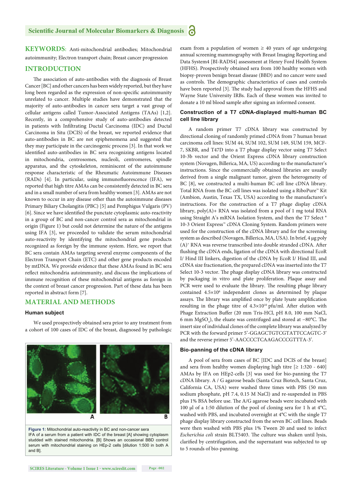**KEYWORDS:** Anti-mitochondrial antibodies; Mitochondrial autoimmunity; Electron transport chain; Breast cancer progression

# **INTRODUCTION**

The association of auto-antibodies with the diagnosis of Breast Cancer [BC] and other cancers has been widely reported, but they have long been regarded as the expression of non-specific autoimmunity unrelated to cancer. Multiple studies have demonstrated that the majority of auto-antibodies in cancer sera target a vast group of cellular antigens called Tumor-Associated Antigens (TAAs) [1,2]. Recently, in a comprehensive study of auto-antibodies detected in patients with Infiltrating Ductal Carcinoma (IDC) and Ductal Carcinoma in Situ (DCIS) of the breast, we reported evidence that auto-antibodies in BC are not epiphenomena and suggested that they may participate in the carcinogenic process [3]. In that work we identified auto-antibodies in BC sera recognizing antigens located in mitochondria, centrosomes, nucleoli, centromeres, spindle apparatus, and the cytoskeleton, reminiscent of the autoimmune response characteristic of the Rheumatic Autoimmune Diseases  $(RADs)$  [4]. In particular, using immunofluorescence (IFA), we reported that high titre AMAs can be consistently detected in BC sera and in a small number of sera from healthy women [3]. AMAs are not known to occur in any disease other than the autoimmune diseases Primary Biliary Cholangitis (PBC) [5] and Pemphigus Vulgaris (PV) [6]. Since we have identified the punctate cytoplasmic auto-reactivity in a group of BC and non-cancer control sera as mitochondrial in origin (Figure 1) but could not determine the nature of the antigens using IFA [3], we proceeded to validate the serum mitochondrial auto-reactivity by identifying the mitochondrial gene products recognized as foreign by the immune system. Here, we report that BC sera contain AMAs targeting several enzyme components of the Electron Transport Chain (ETC) and other gene products encoded by mtDNA. We provide evidence that these AMAs found in BC sera reflect mitochondria autoimmunity, and discuss the implications of immune recognition of these mitochondrial antigens as foreign in the context of breast cancer progression. Part of these data has been reported in abstract form [7].

# **MATERIAL AND METHODS**

#### **Human subject**

We used prospectively obtained sera prior to any treatment from a cohort of 100 cases of IDC of the breast, diagnosed by pathologic



**Figure 1:** Mitochondrial auto-reactivity in BC and non-cancer sera IFA of a serum from a patient with IDC of the breast [A] showing cytoplasm studded with stained mitochondria. [B] Shows an occasional BBD control serum with mitochondrial staining on HEp-2 cells [dilution 1:500 in both A and B].

exam from a population of women  $\geq$  40 years of age undergoing annual screening mammography with Breast Imaging Reporting and Data System4 [BI-RADS4] assessment at Henry Ford Health System (HFHS). Prospectively obtained sera from 100 healthy women with biopsy-proven benign breast disease (BBD) and no cancer were used as controls. The demographic characteristics of cases and controls have been reported [3]. The study had approval from the HFHS and Wayne State University IRBs. Each of these women was invited to donate a 10 ml blood sample after signing an informed consent.

#### **Construction of a T7 cDNA-displayed multi-human BC cell line library**

A random primer T7 cDNA library was constructed by directional cloning of randomly primed cDNA from 7 human breast carcinoma cell lines: SUM 44, SUM 102, SUM 149, SUM 159, MCF-7, SKBR, and T47D into a T7 phage display vector using T7 Select 10-3b vector and the Orient Express cDNA library construction system (Novagen, Billerica, MA, US) according to the manufacturer's instructions. Since the commercially obtained libraries are usually derived from a single malignant tumor, given the heterogeneity of BC [8], we constructed a multi-human BC cell line cDNA library. Total RNA from the BC cell lines was isolated using a RiboPure™ Kit (Ambion, Austin, Texas TX, USA) according to the manufacturer's instructions. For the construction of a T7 phage display cDNA library, poly(A)+ RNA was isolated from a pool of 1 mg total RNA using Straight A's mRNA Isolation System, and then the T7 Select ® 10-3 Orient Express™ cDNA Cloning System. Random primers were used for the construction of the cDNA library and for the screening system as described (Novagen, Billerica, MA, USA). In brief, 4 μg poly  $(A)^+$  RNA was reverse transcribed into double stranded cDNA. After flushing the cDNA ends, ligation of the cDNA with directional EcoR I/ Hind III linkers, digestion of the cDNA by EcoR I/ Hind III, and cDNA size fractionation, the prepared cDNA was inserted into the T7 Select 10-3 vector. The phage display cDNA library was constructed by packaging in vitro and plate proliferation. Plaque assay and PCR were used to evaluate the library. The resulting phage library contained 4.5×10<sup>6</sup> independent clones as determined by plaque assays. The library was amplified once by plate lysate amplification resulting in the phage titre of  $4.3 \times 10^{10}$  pfu/ml. After elution with Phage Extraction Buffer (20 mm Tris-HCl, pH 8.0, 100 mm NaCl, 6 mm MgSO<sub>4</sub>), the eluate was centrifuged and stored at −80°C. The insert size of individual clones of the complete library was analyzed by PCR with the forward primer 5'-GGAGCTGTCGTATTCCAGTC-3' and the reverse primer 5'-AACCCCTCAAGACCCGTTTA-3'.

## **Bio-panning of the cDNA library**

A pool of sera from cases of BC [IDC and DCIS of the breast] and sera from healthy women displaying high titre  $[2 1:320 - 640]$ AMAs by IFA on HEp2-cells [3] was used for bio-panning the T7 cDNA library. A / G agarose beads (Santa Cruz Biotech, Santa Cruz, California CA, USA) were washed three times with PBS (50 mm sodium phosphate, pH 7.4, 0.15 M NaCl) and re-suspended in PBS plus 1% BSA before use. The A/G agarose beads were incubated with 100 μl of a 1:50 dilution of the pool of cloning sera for 1 h at 4°C, washed with PBS, and incubated overnight at 4°C with the single T7 phage display library constructed from the seven BC cell lines. Beads were then washed with PBS plus 1% Tween 20 and used to infect *Escherichia coli* strain BLT5403. The culture was shaken until lysis, clarified by centrifugation, and the supernatant was subjected to up to 5 rounds of bio-panning.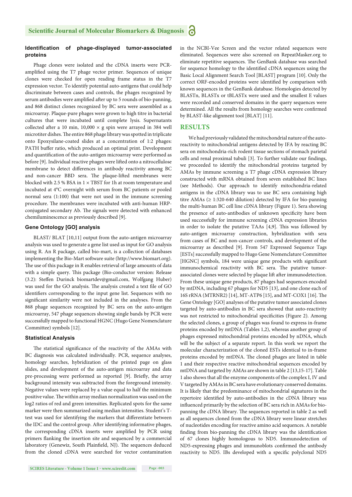## **Identifi cation of phage-displayed tumor-associated proteins**

Phage clones were isolated and the cDNA inserts were PCRamplified using the T7 phage vector primer. Sequences of unique clones were checked for open reading frame status in the T7 expression vector. To identify potential auto-antigens that could help discriminate between cases and controls, the phages recognized by serum antibodies were amplified after up to 5 rounds of bio-panning, and 868 distinct clones recognized by BC sera were assembled as a microarray. Plaque-pure phages were grown to high titre in bacterial cultures that were incubated until complete lysis. Supernatants collected after a 10 min,  $10,000 \times g$  spin were arrayed in 384 well microtiter dishes. The entire 868 phage library was spotted in triplicate onto Epoxysilane-coated slides at a concentration of 1:2 phages: PATH buffer ratio, which produced an optimal print. Development and quantification of the auto-antigen microarray were performed as before [9]. Individual reactive phages were lifted onto a nitrocellulose membrane to detect differences in antibody reactivity among BC and non-cancer BBD sera. The plaque-lifted membranes were blocked with 2.5 % BSA in  $1 \times T$ BST for 1h at room temperature and incubated at 4°C overnight with serum from BC patients or pooled normal sera (1:100) that were not used in the immune screening procedure. The membranes were incubated with anti-human HRPconjugated secondary Ab. The signals were detected with enhanced chemiluminescence as previously described [9].

# **Gene Ontology [GO] analysis**

BLAST/ BLAT [10,11] output from the auto-antigen microarray analysis was used to generate a gene list used as input for GO analysis using R. An R package, called bio-mart, is a collection of databases implementing the Bio-Mart software suite (http://www.biomart.org). The use of this package in R enables retrieval of large amounts of data with a simple query. This package (Bio-conductor version: Release (3.2): Steffen Durinck biomartdev@gmail.com, Wolfgang Huber) was used for the GO analysis. The analysis created a text file of GO identifiers corresponding to the input gene list. Sequences with no significant similarity were not included in the analyses. From the 868 phage sequences recognized by BC sera on the auto-antigen microarray, 547 phage sequences showing single bands by PCR were successfully mapped to functional HGNC (Hugo Gene Nomenclature Committee) symbols [12].

#### **Statistical Analysis**

The statistical significance of the reactivity of the AMAs with BC diagnosis was calculated individually. PCR, sequence analyses, homology searches, hybridization of the printed page on glass slides, and development of the auto-antigen microarray and data pre-processing were performed as reported [9]. Briefly, the array background intensity was subtracted from the foreground intensity. Negative values were replaced by a value equal to half the minimum positive value. The within array median normalization was used on the log2 ratios of red and green intensities. Replicated spots for the same marker were then summarized using median intensities. Student's Ttest was used for identifying the markers that differentiate between the IDC and the control group. After identifying informative phages, the corresponding cDNA inserts were amplified by PCR using primers flanking the insertion site and sequenced by a commercial laboratory (Genewiz, South Plainfield, NJ). The sequences deduced from the cloned cDNA were searched for vector contamination in the NCBI-Vee Screen and the vector related sequences were eliminated. Sequences were also screened on RepeatMasker.org to eliminate repetitive sequences. The GenBank database was searched for sequence homology to the identified cDNA sequences using the Basic Local Alignment Search Tool [BLAST] program [10]. Only the correct ORF-encoded proteins were identified by comparison with known sequences in the GenBank database. Homologies detected by BLASTn, BLASTx or tBLASTx were used and the smallest E values were recorded and conserved domains in the query sequences were determined. All the results from homology searches were confirmed by BLAST-like alignment tool [BLAT] [11].

## **RESULTS**

We had previously validated the mitochondrial nature of the autoreactivity to mitochondrial antigens detected by IFA by reacting BC sera on mitochondria-rich rodent tissue sections of stomach parietal cells and renal proximal tubuli [3]. To further validate our findings, we proceeded to identify the mitochondrial proteins targeted by AMAs by immune screening a T7 phage cDNA expression library constructed with mRNA obtained from seven established BC lines (see Methods). Our approach to identify mitochondria-related antigens in the cDNA library was to use BC sera containing high titre AMAs (≥ 1:320-640 dilution) detected by IFA for bio-panning the multi-human BC cell line cDNA library (Figure 1). Sera showing the presence of auto-antibodies of unknown specificity have been used successfully for immune screening cDNA expression libraries in order to isolate the putative TAAs  $[4,9]$ . This was followed by auto-antigen microarray construction, hybridization with sera from cases of BC and non-cancer controls, and development of the microarray as described [9]. From 547 Expressed Sequence Tags [ESTs] successfully mapped to Hugo Gene Nomenclature Committee [HGNC] symbols, 184 were unique gene products with significant immunochemical reactivity with BC sera. The putative tumorassociated clones were selected by plaque lift after immunodetection. From these unique gene products, 87 phages had sequences encoded by mtDNA, including 67 phages for ND5 [13], and one clone each of 16S rRNA (MTRNR2) [14], MT-ATP6 [15], and MT-COX1 [16]. The Gene Ontology [GO] analyses of the putative tumor associated clones targeted by auto-antibodies in BC sera showed that auto-reactivity was not restricted to mitochondrial specificities (Figure 2). Among the selected clones, a group of phages was found to express in-frame proteins encoded by mtDNA (Tables 1,2), whereas another group of phages expressed mitochondrial proteins encoded by nDNA, which will be the subject of a separate report. In this work we report the molecular characterization of the cloned ESTs identical to in-frame proteins encoded by mtDNA. The cloned phages are listed in table 1 and their respective reactive mitochondrial sequences encoded by mtDNA and targeted by AMAs are shown in table 2 [13,15-17]. Table 1 also shows that all the enzyme components of the complex I, IV and V targeted by AMAs in BC sera have evolutionary conserved domains. It is likely that the predominance of mitochondrial signatures in the repertoire identified by auto-antibodies in the cDNA library was influenced primarily by the selection of BC sera rich in AMAs for biopanning the cDNA library. The sequences reported in table 2 as well as all sequences cloned from the cDNA library were linear stretches of nucleotides encoding for reactive amino acid sequences. A notable finding from bio-panning the cDNA library was the identification of 67 clones highly homologous to ND5. Immunodetection of ND5-expressing phages and immunoblots confirmed the antibody reactivity to ND5. IBs developed with a specific polyclonal ND5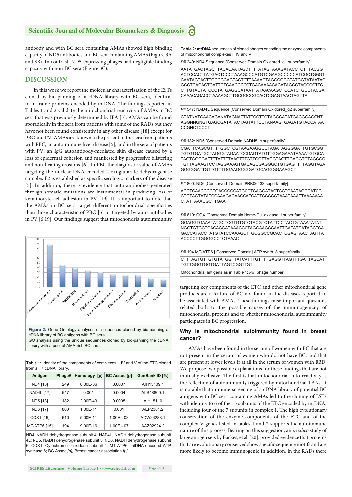antibody and with BC sera containing AMAs showed high binding capacity of ND5 antibodies and BC sera containing AMAs (Figure 3A and 3B). In contrast, ND5-expressing phages had negligible binding capacity with non-BC sera (Figure 3C).

# **DISCUSSION**

In this work we report the molecular characterization of the ESTs cloned by bio-panning of a cDNA library with BC sera, identical to in-frame proteins encoded by mtDNA. The findings reported in Tables 1 and 2 validate the mitochondrial reactivity of AMAs in BC sera that was previously determined by IFA [3]. AMAs can be found sporadically in the sera from patients with some of the RADs but they have not been found consistently in any other disease [18] except for PBC and PV. AMAs are known to be present in the sera from patients with PBC, an autoimmune liver disease [5], and in the sera of patients with PV, an IgG autoantibody-mediated skin disease caused by a loss of epidermal cohesion and manifested by progressive blistering and non-healing erosions [6]. In PBC the diagnostic value of AMAs targeting the nuclear DNA-encoded 2-oxoglutarate dehydrogenase complex E2 is established as specific serologic markers of the disease [5]. In addition, there is evidence that auto-antibodies generated through somatic mutations are instrumental in producing loss of keratinocyte cell adhesion in PV [19]. It is important to note that the AMAs in BC sera target different mitochondrial specificities than those characteristic of PBC [5] or targeted by auto-antibodies in PV  $[6,19]$ . Our findings suggest that mitochondria autoimmunity



**Table 1:** Identity of the components of complexes I, IV and V of the ETC cloned

| from a T7 cDNA library. |        |              |                     |                |
|-------------------------|--------|--------------|---------------------|----------------|
| Antigen                 | Phage# | Homology [p] | <b>BC Assoc [p]</b> | GenBank ID [%] |
| ND4 [13]                | 249    | 8.00E-36     | 0.0007              | AIH15109.1     |
| NAD4L [17]              | 547    | 0.001        | 0.0004              | ALS48800.1     |
| ND5 [13]                | 182    | 2.00E-43     | 0.0005              | AIH15110       |
| ND6 [17]                | 800    | 1.00E-11     | 0.001               | AEP2381.2      |
| COX1 [16]               | 610    | 5.00E-11     | $1.00E - 03$        | ADW26288.1     |
| MT-ATP6 [15]            | 194    | $9.00E-16$   | $1.00E - 07$        | AAZ02924.2     |

ND4, NADH dehydrogenase subunit 4; NAD4L, NADH dehydrogenase subunit 4L; ND5, NADH dehydrogenase subunit 5; ND6, NADH dehydrogenase subunit 6; COX1, Cytochrome *c* oxidase subunit 1; MT-ATP6, mtDNA-encoded ATP synthase 6; BC Assoc *[p],* Breast cancer association *[p].*

**Table 2: mtDNA** sequences of cloned phages encoding the enzyme components of mitochondrial complexes I, IV and V.

*P*# 249: ND4 Sequence [Conserved Domain Oxidored\_q1 superfamily]

AATATGACTAGCTTACACAATAGCTTTTATAGTAAAGATACCTCTTTACGG ACTCCACTTATGACTCCCTAAAGCCCATGTCGAAGCCCCCATCGCTGGGT CAATAGTACTTGCCGCAGTACTCTTAAAACTAGGCGGCTATGGTATAATAC GCCTCACACTCATTCTCAACCCCCTGACAAAACACATAGCCTACCCCTTC CTTGTACTATCCCTATGAGGCATAATTATAACAAGCTCCATCTGCCTACGA CAAACAGACCTAAAAGCTTGCGGCCGCACTCGAGTAACTAGTTA

P# 547: NAD4L Sequence [Conserved Domain Oxidored q2 superfamily] CTATNATGAACAGANATAGNATTATTCCTTCTAGGCATATGACGGAGGNT AGGNNGNGTGAGCGATATACTAGTATTCCTANAAGTGAGATGTACCATAA **CCGNCTCCCT** 

*P*# 182: ND5 [Conserved Domain NADH5\_c superfamily]

CGATTCAGCGTTTTGGCTCGTAAGAAGGCCTAGATAGGGGATTGTGCGG TGTGTGATGCTAGGGTAGAATCCGAGTATGTTGGAGAAATAAAATGTGCA TAGTGGGGATTTTATTTTAAGTTTGTTGGTTAGGTAGTTGAGGTCTAGGGC TGTTAGAAGTCCTAGGAAAGTGACAGCGAGGGCTGTGAGTTTTAGGTAGA GGGGGATTGTTGTTTGGAAGGGGGATGCAGGGGAAAGCT

*P*# 800: ND6 [Conserved Domain PRK06433 superfamily]

ACCTCAACCCCTGACCCCCATGCCTCAGGATACTCCTCAATAGCCATCG CTGTAGTATATCCAAAGACAACCATCATTCCCCCTAAATAAATTAAAAAAA CTATTAAACGCTTGAAT

*P*# 610: COX [Conserved Domain Heme-Cu\_oxidase\_I super family] GGAGGTGAAATATGCTCGTGTGTCTACGTCTATTCCTACTGTAAATATAT NGGTGTGCTCACACGATAAACCCTAGGAAGCCAATTGATATCATAGCTCA GACCATACCTATGTATCCAAAGCTTGCGGCCGCACTCGAGTAACTAGTTA ACCCCTTGGGGCCTCTAAAC

P# 194 MT-ATP6 [ Conserved Domain] ATP synth 8 superfamily CTTTAGTGTTGTGTATGGTTATCATTTGTTTTGAGGTTAGTTTGATTAGCAT TGTTGGGTGGTGATTAGTCGGTTGT

Mitochondrial antigens as in Table 1; *P#*, phage number

targeting key components of the ETC and other mitochondrial gene products are a feature of BC not found in the diseases reported to be associated with AMAs. These findings raise important questions related both to the possible causes of the immunogenicity of mitochondrial proteins and to whether mitochondrial autoimmunity participates in BC progression.

#### **Why is mitochondrial autoimmunity found in breast cancer?**

AMAs have been found in the serum of women with BC that are not present in the serum of women who do not have BC, and that are present at lower levels if at all in the serum of women with BBD. We propose two possible explanations for these findings that are not mutually exclusive. The first is that mitochondrial auto-reactivity is the reflection of autoimmunity triggered by mitochondrial TAAs. It is notable that immune-screening of a cDNA library of potential BC antigens with BC sera containing AMAs led to the cloning of ESTs with identity to 6 of the 13 subunits of the ETC encoded by mtDNA, including four of the 7 subunits in complex 1. The high evolutionary conservation of the enzyme components of the ETC and of the complex V genes listed in tables 1 and 2 supports the autoimmune nature of this process. Bearing on this suggestion, an *in silico* study of large antigen sets by Backes, et al. [20]. provided evidence that proteins that are evolutionary conserved show specific sequence motifs and are more likely to become immunogenic In addition, in the RADs there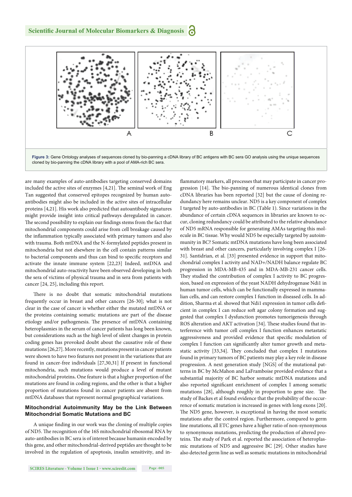

are many examples of auto-antibodies targeting conserved domains included the active sites of enzymes  $[4,21]$ . The seminal work of Eng Tan suggested that conserved epitopes recognized by human autoantibodies might also be included in the active sites of intracellular proteins [4,21]. His work also predicted that autoantibody signatures might provide insight into critical pathways deregulated in cancer. The second possibility to explain our findings stems from the fact that mitochondrial components could arise from cell breakage caused by the inflammation typically associated with primary tumors and also with trauma. Both mtDNA and the N-formylated peptides present in mitochondria but not elsewhere in the cell contain patterns similar to bacterial components and thus can bind to specific receptors and activate the innate immune system [22,23] Indeed, mtDNA and mitochondrial auto-reactivity have been observed developing in both the sera of victims of physical trauma and in sera from patients with cancer [24, 25], including this report.

There is no doubt that somatic mitochondrial mutations frequently occur in breast and other cancers [26-30]; what is not clear in the case of cancer is whether either the mutated mtDNA or the proteins containing somatic mutations are part of the disease etiology and/or pathogenesis. The presence of mtDNA containing heteroplasmies in the serum of cancer patients has long been known, but considerations such as the high level of silent changes in protein coding genes has provoked doubt about the causative role of these mutations [26,27]. More recently, mutations present in cancer patients were shown to have two features not present in the variations that are found in cancer-free individuals [27,30,31] If present in functional mitochondria, such mutations would produce a level of mutant mitochondrial proteins*.* One feature is that a higher proportion of the mutations are found in coding regions, and the other is that a higher proportion of mutations found in cancer patients are absent from mtDNA databases that represent normal geographical variations.

### **Mitochondrial Autoimmunity May be the Link Between Mitochondrial Somatic Mutations and BC**

A unique finding in our work was the cloning of multiple copies of ND5. The recognition of the 16S mitochondrial ribosomal RNA by auto-antibodies in BC sera is of interest because humanin encoded by this gene, and other mitochondrial-derived peptides are thought to be involved in the regulation of apoptosis, insulin sensitivity, and in-

**SCIRES Literature - Volume 1 Issue 1 - www.scireslit.com Page -005**

flammatory markers, all processes that may participate in cancer progression [14]. The bio-panning of numerous identical clones from cDNA libraries has been reported [32] but the cause of cloning redundancy here remains unclear. ND5 is a key component of complex I targeted by auto-antibodies in BC (Table 1). Since variations in the abundance of certain cDNA sequences in libraries are known to occur, cloning redundancy could be attributed to the relative abundance of ND5 mRNA responsible for generating AMAs targeting this molecule in BC tissue. Why would ND5 be especially targeted by autoimmunity in BC? Somatic mtDNA mutations have long been associated with breast and other cancers, particularly involving complex I [26- 31]. Santidrian, et al. [33] presented evidence in support that mitochondrial complex I activity and NAD+/NADH balance regulate BC progression in MDA-MB-435 and in MDA-MB-231 cancer cells. They studied the contribution of complex I activity to BC progression, based on expression of the yeast NADH dehydrogenase Ndi1 in human tumor cells, which can be functionally expressed in mammalian cells, and can restore complex I function in diseased cells. In addition, Sharma et al. showed that Ndi1 expression in tumor cells deficient in complex I can reduce soft agar colony formation and suggested that complex I dysfunction promotes tumorigenesis through ROS alteration and AKT activation [34]. These studies found that interference with tumor cell complex I function enhances metastatic aggressiveness and provided evidence that specific modulation of complex I function can significantly alter tumor growth and metastatic activity [33,34]. They concluded that complex I mutations found in primary tumors of BC patients may play a key role in disease progression. A next generation study [NGS] of the mutational patterns in BC by McMahon and LaFramboise provided evidence that a substantial majority of BC harbor somatic mtDNA mutations and also reported significant enrichment of complex I among somatic mutations [28], although roughly in proportion to gene size. The study of Backes et al found evidence that the probability of the occurrence of somatic mutation is increased in genes with long exons [20]. The ND5 gene, however, is exceptional in having the most somatic mutations after the control region. Furthermore, compared to germ line mutations, all ETC genes have a higher ratio of non-synonymous to synonymous mutations, predicting the production of altered proteins. The study of Park et al. reported the association of heteroplasmic mutations of ND5 and aggressive BC [29]. Other studies have also detected germ line as well as somatic mutations in mitochondrial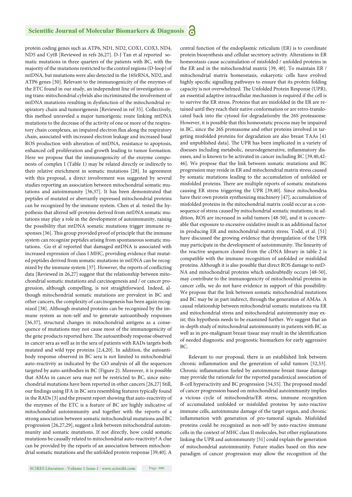protein coding genes such as ATP6, ND1, ND2, COX1, COX3, ND4, ND5 and CytB [Reviewed in refs 26,27]. D-J Tan et al reported somatic mutations in three quarters of the patients with BC, with the majority of the mutations restricted to the control regions (D-loop) of mtDNA, but mutations were also detected in the 16SrRNA, ND2, and ATP6 genes [30]. Relevant to the immunogenicity of the enzymes of the ETC found in our study, an independent line of investigation using trans-mitochondrial cybrids also incriminated the involvement of mtDNA mutations resulting in dysfunction of the mitochondrial respiratory chain and tumorigenesis [Reviewed in ref 35]. Collectively, this method unraveled a major tumorigenic route linking mtDNA mutations to the decrease of the activity of one or more of the respiratory chain complexes, an impaired electron flux along the respiratory chain, associated with increased electron leakage and increased basal ROS production with alteration of mtDNA, resistance to apoptosis, enhanced cell proliferation and growth leading to tumor formation. Here we propose that the immunogenicity of the enzyme components of complex I (Table 1) may be related directly or indirectly to their relative enrichment in somatic mutations [28]. In agreement with this proposal, a direct involvement was suggested by several studies reporting an association between mitochondrial somatic mutations and autoimmunity [36,37]. It has been demonstrated that peptides of mutated or aberrantly expressed mitochondrial proteins can be recognized by the immune system. Chen et al. tested the hypothesis that altered self-proteins derived from mtDNA somatic mutations may play a role in the development of autoimmunity, raising the possibility that mtDNA somatic mutations trigger immune responses [36]. This group provided proof of principle that the immune system can recognize peptides arising from spontaneous somatic mutations. Gu et al reported that damaged mtDNA is associated with increased expression of class I MHC, providing evidence that mutated peptides derived from somatic mutations in mtDNA can be recognized by the immune system [37]. However, the reports of conflicting data [Reviewed in 26,27] suggest that the relationship between mitochondrial somatic mutations and carcinogenesis and / or cancer progression, although compelling, is not straightforward. Indeed, although mitochondrial somatic mutations are prevalent in BC and other cancers, the complexity of carcinogenesis has been again recognized [38]. Although mutated proteins can be recognized by the immune system as non-self and to generate autoantibody responses [36,37], structural changes in mitochondrial antigens as a consequence of mutations may not cause most of the immunogenicity of the gene products reported here. The autoantibody response observed in cancer sera as well as in the sera of patients with RADs targets both mutated and wild type proteins [2,4,20]. In addition, the autoantibody response observed in BC sera is not limited to mitochondrial auto-reactivity as indicated by the GO analysis of all the sequences targeted by auto-antibodies in BC (Figure 2). Moreover, it is possible that AMAs in cancer sera may not be restricted to BC, since mitochondrial mutations have been reported in other cancers [26,27] Still, our findings using IFA in BC sera resembling features typically found in the RADs [3] and the present report showing that auto-reactivity of the enzymes of the ETC is a feature of BC are highly indicative of mitochondrial autoimmunity and together with the reports of a strong association between somatic mitochondrial mutations and BC progression [26,27,29], suggest a link between mitochondrial autoimmunity and somatic mutations. If not directly, how could somatic mutations be causally related to mitochondrial auto-reactivity? A clue can be provided by the reports of an association between mitochondrial somatic mutations and the unfolded protein response [39,40]. A

**SCIRES Literature - Volume 1 Issue 1 - www.scireslit.com Page -006**

central function of the endoplasmic reticulum (ER) is to coordinate protein biosynthesis and cellular secretory activity. Alterations in ER homeostasis cause accumulation of misfolded / unfolded proteins in the ER and in the mitochondrial matrix [39, 40]. To maintain ER / mitochondrial matrix homeostasis, eukaryotic cells have evolved highly specific signalling pathways to ensure that its protein folding capacity is not overwhelmed. The Unfolded Protein Response (UPR), an essential adaptive intracellular mechanism is required if the cell is to survive the ER stress. Proteins that are misfolded in the ER are retained until they reach their native conformation or are retro-translocated back into the cytosol for degradationby the 26S proteasome. However, it is possible that this homeostatic process may be impaired in BC, since the 26S proteasome and other proteins involved in targeting misfolded proteins for degradation are also breast TAAs [41 and unpublished data]. The UPR has been implicated in a variety of diseases including metabolic, neurodegenerative, inflammatory diseases, and is known to be activated in cancer including BC [39,40,42- 46]. We propose that the link between somatic mutations and BC progression may reside in ER and mitochondrial matrix stress caused by somatic mutations leading to the accumulation of unfolded or misfolded proteins. There are multiple reports of somatic mutations causing ER stress triggering the UPR [39,40]. Since mitochondria have their own protein synthesizing machinery [47], accumulation of misfolded proteins in the mitochondrial matrix could occur as a consequence of stress caused by mitochondrial somatic mutations; in addition, ROS are increased in solid tumors [48-50], and it is conceivable that exposure to excessive oxidative insult is an additional factor in producing ER and mitochondrial matrix stress. Todd, et al. [51] have discussed the growing evidence that dysregulation of the UPR may participate in the development of autoimmunity. The linearity of the reactive sequences cloned from the cDNA library in table 2 is compatible with the immune recognition of unfolded or misfolded proteins. Although it is also possible that direct ROS damage to mtD-NA and mitochondrial proteins which undoubtedly occurs [48-50], may contribute to the immunogenicity of mitochondrial proteins in cancer cells, we do not have evidence in support of this possibility. We propose that the link between somatic mitochondrial mutations and BC may be in part indirect, through the generation of AMAs. A causal relationship between mitochondrial somatic mutations via ER and mitochondrial stress and mitochondrial autoimmunity may exist; this hypothesis needs to be examined further. We suggest that an in-depth study of mitochondrial autoimmunity in patients with BC as well as in pre-malignant breast tissue may result in the identification of needed diagnostic and prognostic biomarkers for early aggressive BC.

Relevant to our proposal, there is an established link between chronic inflammation and the generation of solid tumors [52,53]. Chronic inflammation fueled by autoimmune breast tissue damage may provide the rationale for the reported paradoxical association of B-cell hyperactivity and BC progression [54,55]. The proposed model of cancer progression based on mitochondrial autoimmunity implies a vicious cycle of mitochondria/ER stress, immune recognition of accumulated unfolded or misfolded proteins by auto-reactive immune cells, autoimmune damage of the target organ, and chronic inflammation with generation of pro-tumoral signals. Misfolded proteins could be recognized as non-self by auto-reactive immune cells in the context of MHC class II molecules, but other explanations linking the UPR and autoimmunity [51] could explain the generation of mitochondrial autoimmunity. Future studies based on this new paradigm of cancer progression may allow the recognition of the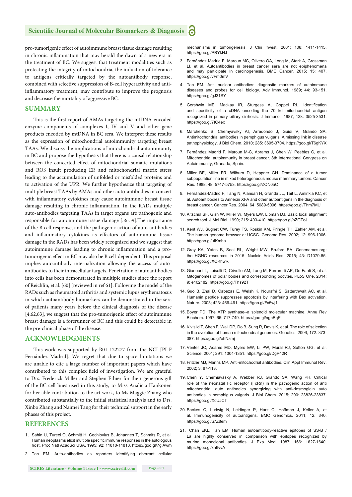pro-tumorigenic effect of autoimmune breast tissue damage resulting in chronic inflammation that may herald the dawn of a new era in the treatment of BC. We suggest that treatment modalities such as protecting the integrity of mitochondria, the induction of tolerance to antigens critically targeted by the autoantibody response, combined with selective suppression of B-cell hyperactivity and antiinflammatory treatment, may contribute to improve the prognosis and decrease the mortality of aggressive BC.

# **SUMMARY**

This is the first report of AMAs targeting the mtDNA-encoded enzyme components of complexes I, IV and V and other gene products encoded by mtDNA in BC sera. We interpret these results as the expression of mitochondrial autoimmunity targeting breast TAAs. We discuss the implications of mitochondrial autoimmunity in BC and propose the hypothesis that there is a causal relationship between the concerted effect of mitochondrial somatic mutations and ROS insult producing ER and mitochondrial matrix stress leading to the accumulation of unfolded or misfolded proteins and to activation of the UPR. We further hypothesize that targeting of multiple breast TAAs by AMAs and other auto-antibodies in concert with inflammatory cytokines may cause autoimmune breast tissue damage resulting in chronic inflammation. In the RADs multiple auto-antibodies targeting TAAs in target organs are pathogenic and responsible for autoimmune tissue damage [56-59]. The importance of the B cell response, and the pathogenic action of auto-antibodies and inflammatory cytokines as effectors of autoimmune tissue damage in the RADs has been widely recognized and we suggest that autoimmune damage leading to chronic inflammation and a protumorigenic effect in BC may also be B cell-dependent. This proposal implies autoantibody internalization allowing the access of autoantibodies to their intracellular targets. Penetration of autoantibodies into cells has been demonstrated in multiple studies since the report of Reichlin, et al. [60] [reviewed in ref 61]. Following the model of the RADs such as rheumatoid arthritis and systemic lupus erythematosus in which autoantibody biomarkers can be demonstrated in the sera of patients many years before the clinical diagnosis of the disease  $[4,62,63]$ , we suggest that the pro-tumorigenic effect of autoimmune breast damage is a forerunner of BC and this could be detectable in the pre-clinical phase of the disease.

# **ACKNOWLEDGMENTS**

This work was supported by R01 122277 from the NCI [PI F Fernández Madrid]. We regret that due to space limitations we are unable to cite a large number of important papers which have contributed to this complex field of investigation. We are grateful to Drs. Frederick Miller and Stephen Ethier for their generous gift of the BC cell lines used in this study, to Miss Analicia Hankonen for her able contribution to the art work, to Ms Maggie Zhang who contributed substantially to the initial statistical analysis and to Drs. Xinbo Zhang and Naimei Tang for their technical support in the early phases of this project.

# **REFERENCES**

- 1. Sahin U, Tureci O, Schmitt H, Cochlovius B, Johannes T, Schmits R, et al. Human neoplasms elicit multiple specific immune responses in the autologous host, Proc Natl AcadSci USA. 1995; 92: 11810-11813. https://goo.gl/7giAwm
- 2. Tan EM. Auto-antibodies as reporters identifying aberrant cellular

mechanisms in tumorigenesis. J Clin Invest. 2001; 108: 1411-1415. https://goo.gl/PBYkHJ

- 3. Fernández Madrid F, Maroun MC, Olivero OA, Long M, Stark A, Grossman LI, et al. Autoantibodies in breast cancer sera are not epiphenomena and may participate In carcinogenesis. BMC Cancer. 2015; 15: 407. https://goo.gl/vFm0mV
- 4. Tan EM. Anti nuclear antibodies: diagnostic markers of autoimmune diseases and probes for cell biology. Adv Immunol. 1989; 44: 93-151. https://goo.gl/gJ31SY
- 5. Gershwin ME, Mackay IR, Sturgess A, Coppel RL. Identification and specificity of a cDNA encoding the 70 kd mitochondrial antigen recognized in primary biliary cirrhosis. J Immunol. 1987; 138: 3525-3531. https://goo.gl/7tO4ex
- 6. Marchenko S, Chemyavsky AI, Arredondo J, Guidi V, Grando SA. Antimitochondrial antibodies in pemphigus vulgaris. A missing link in disease pathophysiology. J Biol Chem. 2010; 285: 3695-3704. https://goo.gl/T6gKYX
- 7. Fernández Madrid F, Maroun M-C, Abrams J, Chen W, Peebles C, et al. Mitochondrial autoimmunity in breast cancer. 8th International Congress on Autoimmunity, Granada, Spain.
- 8. Miller BE, Miller FR, Wilburn D, Heppner GH. Dominance of a tumor subpopulation line in mixed heterogeneous mouse mammary tumors. Cancer Res. 1988; 48: 5747-5753. https://goo.gl/ZON0aC
- 9. Fernández-Madrid F, Tang N, Alansari H, Granda JL, Tait L, Amirikia KC, et al. Autoantibodies to Annexin XI-A and other autoantigens in the diagnosis of breast cancer. Cancer Res. 2004; 64, 5089-5096. https://goo.gl/Thm7MU
- 10. Altschul SF, Gish W, Miller W, Myers EW, Lipman DJ. Basic local alignment search tool. J Mol Biol. 1990; 215: 403-410. https://goo.gl/bZGTcJ
- 11. Kent WJ, Sugnet CW, Furey TS, Roskin KM, Pringle TH, Zahler AM, et al. The human genome browser at UCSC. Genome Res. 2002; 12: 996-1006. https://goo.gl/ufKmha
- 12. Gray KA, Yates B, Seal RL, Wright MW, Bruford EA. Genenames.org: the HGNC resources in 2015. Nucleic Acids Res. 2015; 43: D1079-85. https://goo.gl/XOKhwR
- 13. Gianoarli L, Luiselli D, Crivello AM, Lang M, Ferraretti AP, De Fanti S, et al. Mitogenomes of polar bodies and corresponding oocytes. PLoS One. 2014; 9: e102182. https://goo.gl/Ths92T
- 14. Guo B, Zhai D, Cabezas E, Welsh K, Nourafni S, Satterthwait AC, et al. Humanin peptide suppresses apoptosis by interfering with Bax activation. Nature. 2003; 423: 456-461. https://goo.gl/Fx5wj1
- 15. Boyer PD. The ATP synthase--a splendid molecular machine. Annu Rev Biochem. 1997; 66: 717-749. https://goo.gl/ngnBqP
- 16. Kivisild T, Shen F, Wall DP, Do B, Sung R, Davis K, et al. The role of selection in the evolution of human mitochondrial genomes. Genetics. 2006; 172: 373- 387. https://goo.gl/ehNzmj
- 17. Venter JC, Adams MD, Myers EW, Li PW, Mural RJ, Sutton GG, et al. Science. 2001; 291: 1304-1351. https://goo.gl/DgP42R
- 18. Fritzler MJ, Manns MP. Anti-mitochodrial antibodies. Clin Appl Immunol Rev. 2002; 3: 87-113.
- 19. Chen Y, Cherniavasky A, Webber RJ, Grando SA, Wang PH. Critical role of the neonatal Fc receptor (FcRn) in the pathogenic action of anti mitochondrial auto antibodies synergizing with anti-desmoglein auto antibodies in pemphigus vulgaris. J Biol Chem. 2015; 290: 23826-23837. https://goo.gl/XcUJCT
- 20. Backes C, Ludwig N, Leidinger P, Harz C, Hoffman J, Keller A, et al. Immunogenicity of autoantigens. BMC Genomics. 2011; 12: 340. https://goo.gl/u7Z8em
- 21. Chan EKL, Tan EM. Human autoantibody-reactive epitopes of SS-B / La are highly conserved in comparison with epitopes recognized by murine monoclonal antibodies. J Exp Med. 1987; 166: 1627-1640. https://goo.gl/xn9vvA